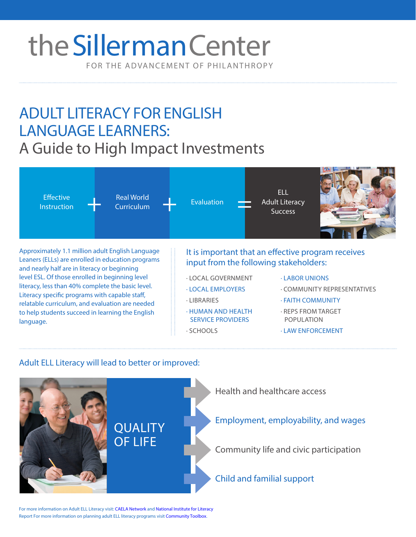# FOR THE ADVANCEMENT OF PHILANTHROPY the Sillerman Center

# ADULT LITERACY FOR ENGLISH LANGUAGE LEARNERS: A Guide to High Impact Investments



SERVICE PROVIDERS

· SCHOOLS

to help students succeed in learning the English language.

- · REPS FROM TARGET POPULATION
- · LAW ENFORCEMENT

# Adult ELL Literacy will lead to better or improved:



For more information on Adult ELL Literacy visit: [CAELA Network](http://www.cal.org/caelanetwork/resources/adultELLs/overview.html) and [National Institute for Literacy](https://lincs.ed.gov/publications/pdf/ELLpaper2010.pdf) Report For more information on planning adult ELL literacy progra[ms visit Community T](http://ctb.ku.edu/en/table-of-contents/implement/improving-services/plan-adult-literacy-program/main)oolbox.